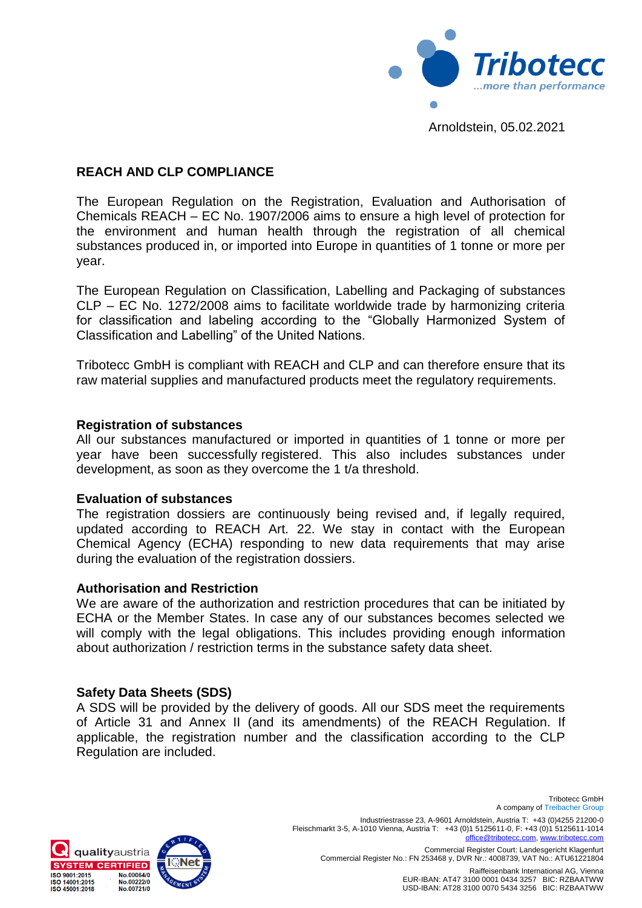

Arnoldstein, 05.02.2021

# **REACH AND CLP COMPLIANCE**

The European Regulation on the Registration, Evaluation and Authorisation of Chemicals REACH – EC No. 1907/2006 aims to ensure a high level of protection for the environment and human health through the registration of all chemical substances produced in, or imported into Europe in quantities of 1 tonne or more per year.

The European Regulation on Classification, Labelling and Packaging of substances CLP – EC No. 1272/2008 aims to facilitate worldwide trade by harmonizing criteria for classification and labeling according to the "Globally Harmonized System of Classification and Labelling" of the United Nations.

Tribotecc GmbH is compliant with REACH and CLP and can therefore ensure that its raw material supplies and manufactured products meet the regulatory requirements.

## **Registration of substances**

All our substances manufactured or imported in quantities of 1 tonne or more per year have been successfully registered. This also includes substances under development, as soon as they overcome the 1 t/a threshold.

### **Evaluation of substances**

The registration dossiers are continuously being revised and, if legally required, updated according to REACH Art. 22. We stay in contact with the European Chemical Agency (ECHA) responding to new data requirements that may arise during the evaluation of the registration dossiers.

### **Authorisation and Restriction**

We are aware of the authorization and restriction procedures that can be initiated by ECHA or the Member States. In case any of our substances becomes selected we will comply with the legal obligations. This includes providing enough information about authorization / restriction terms in the substance safety data sheet.

# **Safety Data Sheets (SDS)**

A SDS will be provided by the delivery of goods. All our SDS meet the requirements of Article 31 and Annex II (and its amendments) of the REACH Regulation. If applicable, the registration number and the classification according to the CLP Regulation are included.



A company of Treibacher Group Industriestrasse 23, A-9601 Arnoldstein, Austria T: +43 (0)4255 21200-0 Fleischmarkt 3-5, A-1010 Vienna, Austria T: +43 (0)1 5125611-0, F: +43 (0)1 5125611-1014 [office@tribotecc.c](mailto:office@tribotecc.)om, www.trib

Commercial Register Court: Landesgericht Klagenfurt Commercial Register No.: FN 253468 y, DVR Nr.: 4008739, VAT No.: ATU61221804

Tribotecc GmbH